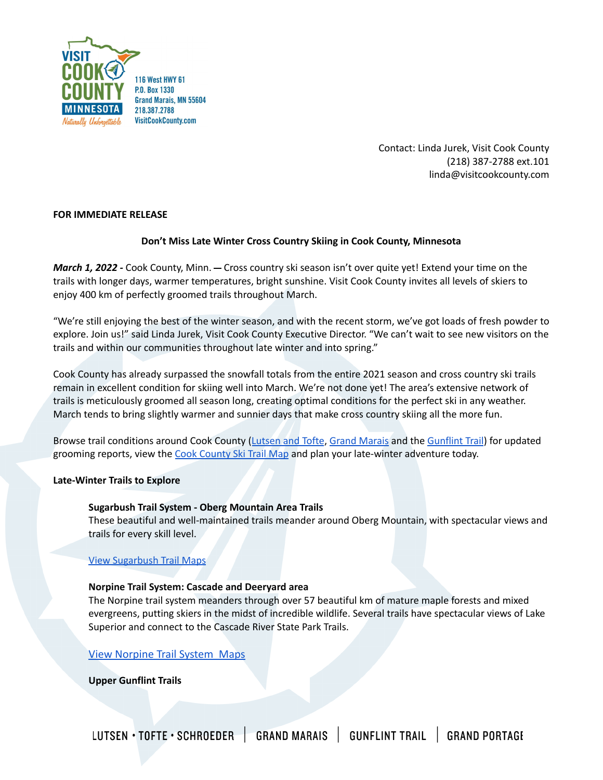

Contact: Linda Jurek, Visit Cook County (218) 387-2788 ext.101 linda@visitcookcounty.com

## **FOR IMMEDIATE RELEASE**

# **Don't Miss Late Winter Cross Country Skiing in Cook County, Minnesota**

*March 1, 2022 -* Cook County, Minn. Cross country ski season isn't over quite yet! Extend your time on the trails with longer days, warmer temperatures, bright sunshine. Visit Cook County invites all levels of skiers to enjoy 400 km of perfectly groomed trails throughout March.

"We're still enjoying the best of the winter season, and with the recent storm, we've got loads of fresh powder to explore. Join us!" said Linda Jurek, Visit Cook County Executive Director. "We can't wait to see new visitors on the trails and within our communities throughout late winter and into spring."

Cook County has already surpassed the snowfall totals from the entire 2021 season and cross country ski trails remain in excellent condition for skiing well into March. We're not done yet! The area's extensive network of trails is meticulously groomed all season long, creating optimal conditions for the perfect ski in any weather. March tends to bring slightly warmer and sunnier days that make cross country skiing all the more fun.

Browse trail conditions around Cook County ([Lutsen](https://www.visitcookcounty.com/winter-trail-conditions/lutsen-tofte-cross-country-ski-trail-conditions/?utm_source=skinnyski&utm_medium=press-release&utm_campaign=gv_winter_2022&utm_term=cross-country-ski&utm_content=clicks_xc-skiing_winter) and Tofte, Grand [Marais](https://www.visitcookcounty.com/winter-trail-conditions/grand-marais-cross-country-ski-trail-conditions/?utm_source=skinnyski&utm_medium=press-release&utm_campaign=gv_winter_2022&utm_term=cross-country-ski&utm_content=clicks_xc-skiing_winternd-marais-cross-country-ski-trail-conditions/) and the [Gunflint](https://www.visitcookcounty.com/winter-trail-conditions/gunflint-trail-cross-country-ski-trail-conditions/?utm_source=skinnyski&utm_medium=press-release&utm_campaign=gv_winter_2022&utm_term=cross-country-ski&utm_content=clicks_xc-skiing_winter) Trail) for updated grooming reports, view the Cook [County](https://www.visitcookcounty.com/adventures/cross-country-skiing/#vccskimap?utm_source=skinnyski&utm_medium=press-release&utm_campaign=gv_winter_2022&utm_term=ski-trails&utm_content=clicks_xc-skiing_winterg/#vccskimap) Ski Trail Map and plan your late-winter adventure today.

## **Late-Winter Trails to Explore**

## **Sugarbush Trail System - Oberg Mountain Area Trails**

These beautiful and well-maintained trails meander around Oberg Mountain, with spectacular views and trails for every skill level.

## View [Sugarbush](https://www.visitcookcounty.com/adventures/cross-country-skiing/#vccskimap?utm_source=skinnyski&utm_medium=press-release&utm_campaign=gv_winter_2022&utm_term=ski-trails&utm_content=clicks_xc-skiing_winterp) Trail Maps

#### **Norpine Trail System: Cascade and Deeryard area**

The Norpine trail system meanders through over 57 beautiful km of mature maple forests and mixed evergreens, putting skiers in the midst of incredible wildlife. Several trails have spectacular views of Lake Superior and connect to the Cascade River State Park Trails.

## [View Norpine Trail System Maps](https://www.visitcookcounty.com/adventures/cross-country-skiing/norpine-trail-system_cascade-and-deeryard-area_georeferenced/?utm_source=skinnyski&utm_medium=press-release&utm_campaign=gv_winter_2022&utm_term=blog&utm_content=clicks_plan-trip_winter)

**Upper Gunflint Trails**